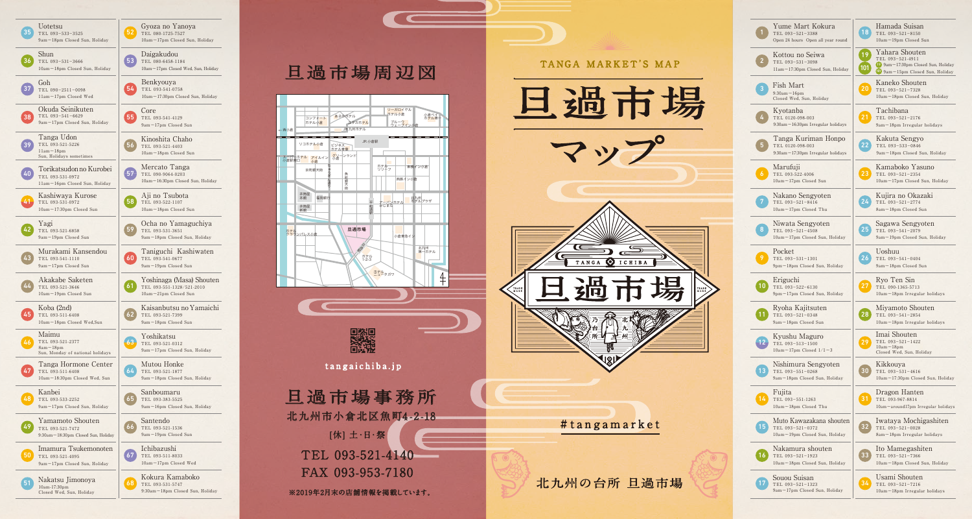